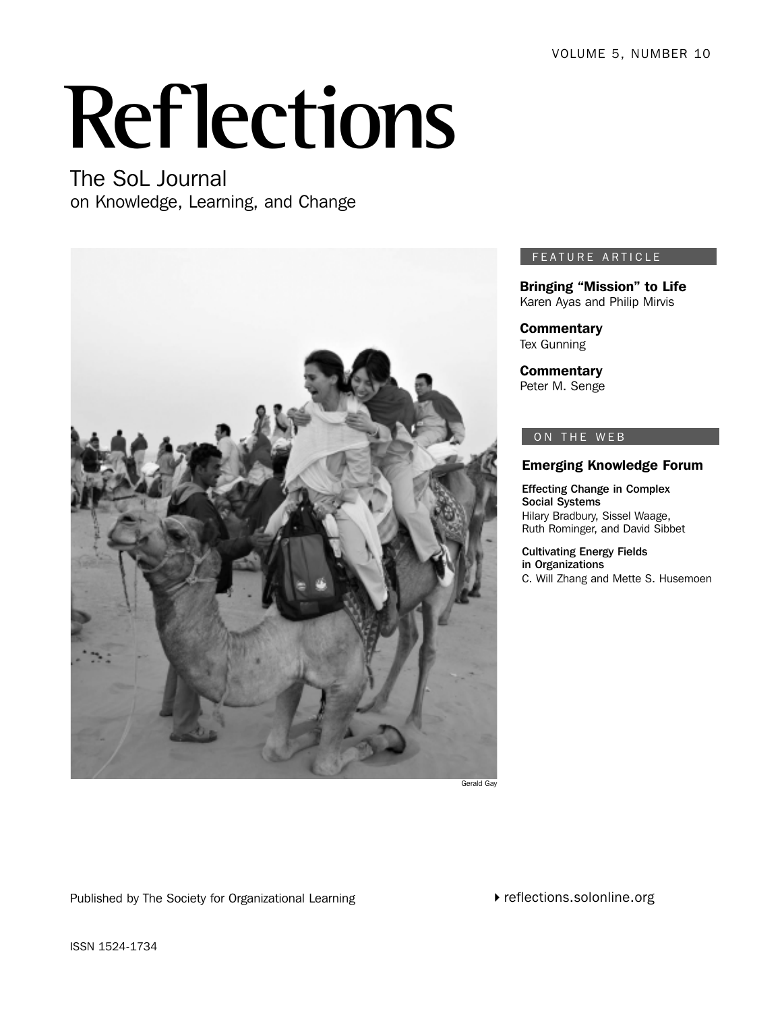# **Reflections**

The SoL Journal on Knowledge, Learning, and Change



#### FEATURE ARTICLE

Bringing "Mission" to Life Karen Ayas and Philip Mirvis

**Commentary** Tex Gunning

**Commentary** Peter M. Senge

#### ON THE WEB

#### Emerging Knowledge Forum

Effecting Change in Complex Social Systems Hilary Bradbury, Sissel Waage, Ruth Rominger, and David Sibbet

Cultivating Energy Fields in Organizations C. Will Zhang and Mette S. Husemoen

Published by The Society for Organizational Learning

reflections.solonline.org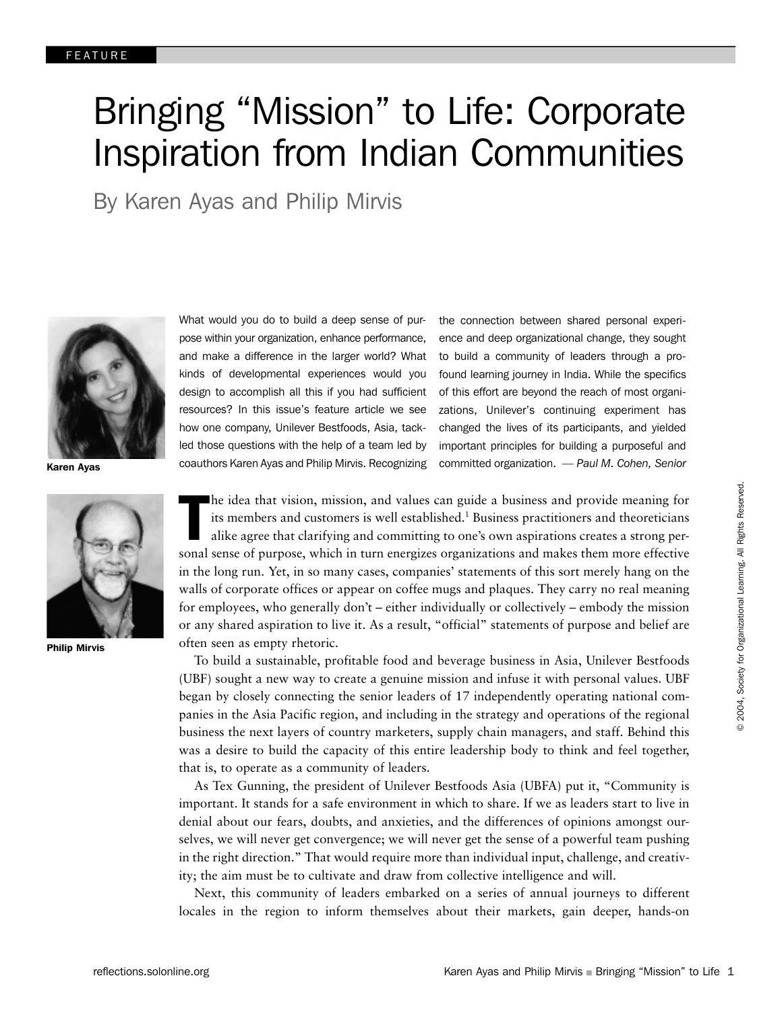## Bringing "Mission" to Life: Corporate Inspiration from Indian Communities

By Karen Ayas and Philip Mirvis



Karen Ayas



Philip Mirvis

What would you do to build a deep sense of purpose within your organization, enhance performance, and make a difference in the larger world? What kinds of developmental experiences would you design to accomplish all this if you had sufficient resources? In this issue's feature article we see how one company, Unilever Bestfoods, Asia, tackled those questions with the help of a team led by coauthors Karen Ayas and Philip Mirvis. Recognizing

the connection between shared personal experience and deep organizational change, they sought to build a community of leaders through a profound learning journey in India. While the specifics of this effort are beyond the reach of most organizations, Unilever's continuing experiment has changed the lives of its participants, and yielded important principles for building a purposeful and committed organization. *— Paul M. Cohen, Senior*

The idea that vision, mission, and values can guide a business and provide meaning for<br>its members and customers is well established.<sup>1</sup> Business practitioners and theoreticians<br>alike agree that clarifying and committing t he idea that vision, mission, and values can guide a business and provide meaning for its members and customers is well established.<sup>1</sup> Business practitioners and theoreticians alike agree that clarifying and committing to one's own aspirations creates a strong perin the long run. Yet, in so many cases, companies' statements of this sort merely hang on the walls of corporate offices or appear on coffee mugs and plaques. They carry no real meaning for employees, who generally don't – either individually or collectively – embody the mission or any shared aspiration to live it. As a result, "official" statements of purpose and belief are often seen as empty rhetoric.

To build a sustainable, profitable food and beverage business in Asia, Unilever Bestfoods (UBF) sought a new way to create a genuine mission and infuse it with personal values. UBF began by closely connecting the senior leaders of 17 independently operating national companies in the Asia Pacific region, and including in the strategy and operations of the regional business the next layers of country marketers, supply chain managers, and staff. Behind this was a desire to build the capacity of this entire leadership body to think and feel together, that is, to operate as a community of leaders.

As Tex Gunning, the president of Unilever Bestfoods Asia (UBFA) put it, "Community is important. It stands for a safe environment in which to share. If we as leaders start to live in denial about our fears, doubts, and anxieties, and the differences of opinions amongst ourselves, we will never get convergence; we will never get the sense of a powerful team pushing in the right direction." That would require more than individual input, challenge, and creativity; the aim must be to cultivate and draw from collective intelligence and will.

Next, this community of leaders embarked on a series of annual journeys to different locales in the region to inform themselves about their markets, gain deeper, hands-on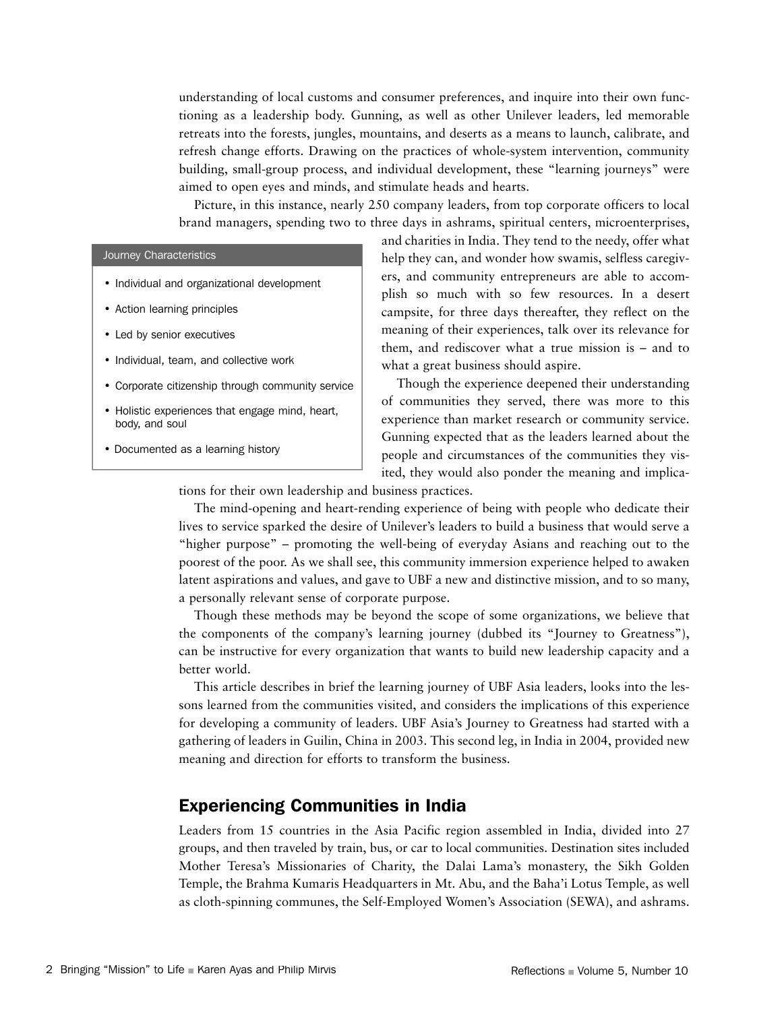understanding of local customs and consumer preferences, and inquire into their own functioning as a leadership body. Gunning, as well as other Unilever leaders, led memorable retreats into the forests, jungles, mountains, and deserts as a means to launch, calibrate, and refresh change efforts. Drawing on the practices of whole-system intervention, community building, small-group process, and individual development, these "learning journeys" were aimed to open eyes and minds, and stimulate heads and hearts.

Picture, in this instance, nearly 250 company leaders, from top corporate officers to local brand managers, spending two to three days in ashrams, spiritual centers, microenterprises,

#### Journey Characteristics

- Individual and organizational development
- Action learning principles
- Led by senior executives
- Individual, team, and collective work
- Corporate citizenship through community service
- Holistic experiences that engage mind, heart, body, and soul
- Documented as a learning history

and charities in India. They tend to the needy, offer what help they can, and wonder how swamis, selfless caregivers, and community entrepreneurs are able to accomplish so much with so few resources. In a desert campsite, for three days thereafter, they reflect on the meaning of their experiences, talk over its relevance for them, and rediscover what a true mission is – and to what a great business should aspire.

Though the experience deepened their understanding of communities they served, there was more to this experience than market research or community service. Gunning expected that as the leaders learned about the people and circumstances of the communities they visited, they would also ponder the meaning and implica-

tions for their own leadership and business practices.

The mind-opening and heart-rending experience of being with people who dedicate their lives to service sparked the desire of Unilever's leaders to build a business that would serve a "higher purpose" – promoting the well-being of everyday Asians and reaching out to the poorest of the poor. As we shall see, this community immersion experience helped to awaken latent aspirations and values, and gave to UBF a new and distinctive mission, and to so many, a personally relevant sense of corporate purpose.

Though these methods may be beyond the scope of some organizations, we believe that the components of the company's learning journey (dubbed its "Journey to Greatness"), can be instructive for every organization that wants to build new leadership capacity and a better world.

This article describes in brief the learning journey of UBF Asia leaders, looks into the lessons learned from the communities visited, and considers the implications of this experience for developing a community of leaders. UBF Asia's Journey to Greatness had started with a gathering of leaders in Guilin, China in 2003. This second leg, in India in 2004, provided new meaning and direction for efforts to transform the business.

## Experiencing Communities in India

Leaders from 15 countries in the Asia Pacific region assembled in India, divided into 27 groups, and then traveled by train, bus, or car to local communities. Destination sites included Mother Teresa's Missionaries of Charity, the Dalai Lama's monastery, the Sikh Golden Temple, the Brahma Kumaris Headquarters in Mt. Abu, and the Baha'i Lotus Temple, as well as cloth-spinning communes, the Self-Employed Women's Association (SEWA), and ashrams.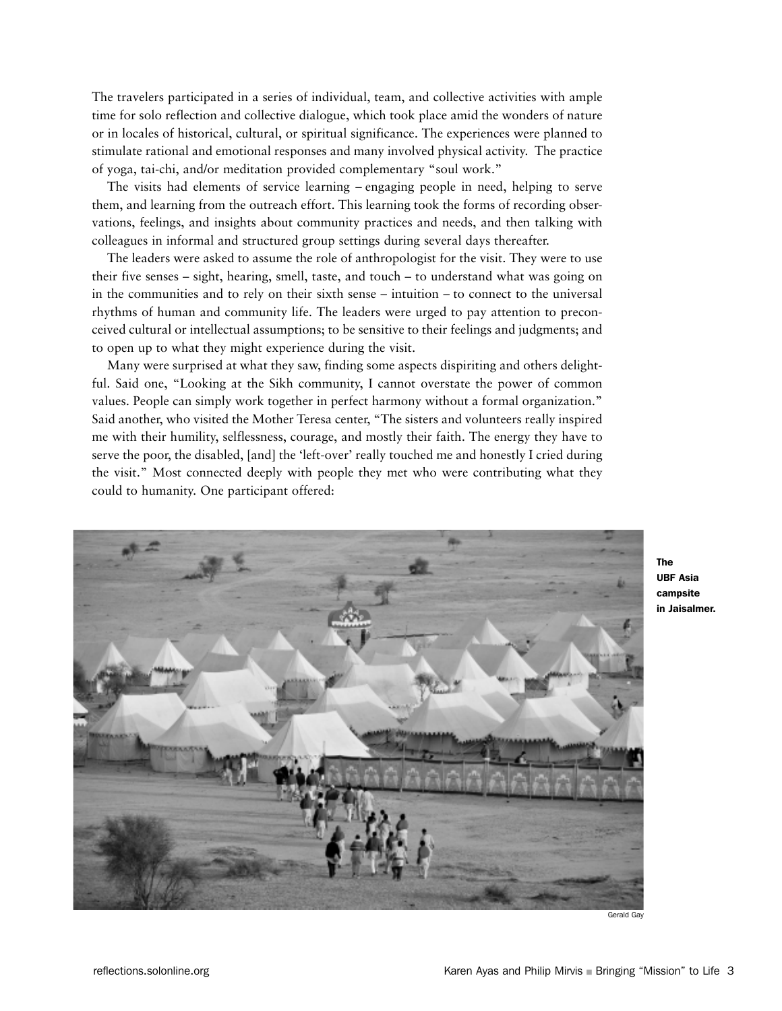The travelers participated in a series of individual, team, and collective activities with ample time for solo reflection and collective dialogue, which took place amid the wonders of nature or in locales of historical, cultural, or spiritual significance. The experiences were planned to stimulate rational and emotional responses and many involved physical activity. The practice of yoga, tai-chi, and/or meditation provided complementary "soul work."

The visits had elements of service learning – engaging people in need, helping to serve them, and learning from the outreach effort. This learning took the forms of recording observations, feelings, and insights about community practices and needs, and then talking with colleagues in informal and structured group settings during several days thereafter.

The leaders were asked to assume the role of anthropologist for the visit. They were to use their five senses – sight, hearing, smell, taste, and touch – to understand what was going on in the communities and to rely on their sixth sense – intuition – to connect to the universal rhythms of human and community life. The leaders were urged to pay attention to preconceived cultural or intellectual assumptions; to be sensitive to their feelings and judgments; and to open up to what they might experience during the visit.

Many were surprised at what they saw, finding some aspects dispiriting and others delightful. Said one, "Looking at the Sikh community, I cannot overstate the power of common values. People can simply work together in perfect harmony without a formal organization." Said another, who visited the Mother Teresa center, "The sisters and volunteers really inspired me with their humility, selflessness, courage, and mostly their faith. The energy they have to serve the poor, the disabled, [and] the 'left-over' really touched me and honestly I cried during the visit." Most connected deeply with people they met who were contributing what they could to humanity. One participant offered:



The UBF Asia campsite in Jaisalmer.

Gerald Gay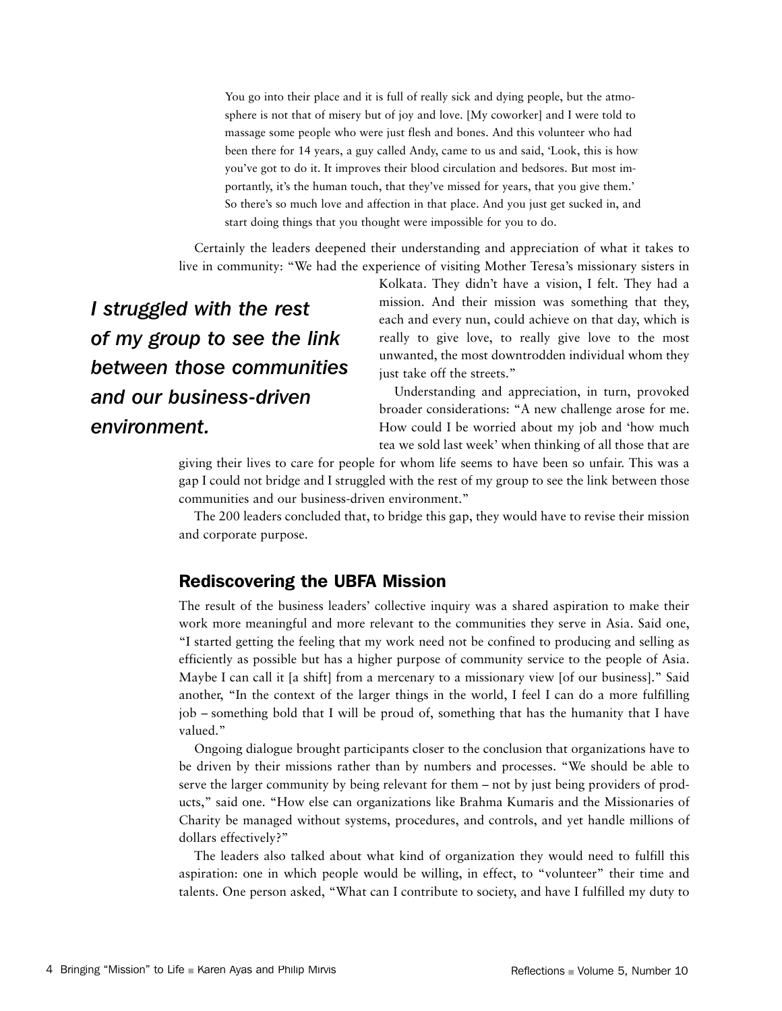You go into their place and it is full of really sick and dying people, but the atmosphere is not that of misery but of joy and love. [My coworker] and I were told to massage some people who were just flesh and bones. And this volunteer who had been there for 14 years, a guy called Andy, came to us and said, 'Look, this is how you've got to do it. It improves their blood circulation and bedsores. But most importantly, it's the human touch, that they've missed for years, that you give them.' So there's so much love and affection in that place. And you just get sucked in, and start doing things that you thought were impossible for you to do.

Certainly the leaders deepened their understanding and appreciation of what it takes to live in community: "We had the experience of visiting Mother Teresa's missionary sisters in

*I struggled with the rest of my group to see the link between those communities and our business-driven environment.*

Kolkata. They didn't have a vision, I felt. They had a mission. And their mission was something that they, each and every nun, could achieve on that day, which is really to give love, to really give love to the most unwanted, the most downtrodden individual whom they just take off the streets."

Understanding and appreciation, in turn, provoked broader considerations: "A new challenge arose for me. How could I be worried about my job and 'how much tea we sold last week' when thinking of all those that are

giving their lives to care for people for whom life seems to have been so unfair. This was a gap I could not bridge and I struggled with the rest of my group to see the link between those communities and our business-driven environment."

The 200 leaders concluded that, to bridge this gap, they would have to revise their mission and corporate purpose.

#### Rediscovering the UBFA Mission

The result of the business leaders' collective inquiry was a shared aspiration to make their work more meaningful and more relevant to the communities they serve in Asia. Said one, "I started getting the feeling that my work need not be confined to producing and selling as efficiently as possible but has a higher purpose of community service to the people of Asia. Maybe I can call it [a shift] from a mercenary to a missionary view [of our business]." Said another, "In the context of the larger things in the world, I feel I can do a more fulfilling job – something bold that I will be proud of, something that has the humanity that I have valued."

Ongoing dialogue brought participants closer to the conclusion that organizations have to be driven by their missions rather than by numbers and processes. "We should be able to serve the larger community by being relevant for them – not by just being providers of products," said one. "How else can organizations like Brahma Kumaris and the Missionaries of Charity be managed without systems, procedures, and controls, and yet handle millions of dollars effectively?"

The leaders also talked about what kind of organization they would need to fulfill this aspiration: one in which people would be willing, in effect, to "volunteer" their time and talents. One person asked, "What can I contribute to society, and have I fulfilled my duty to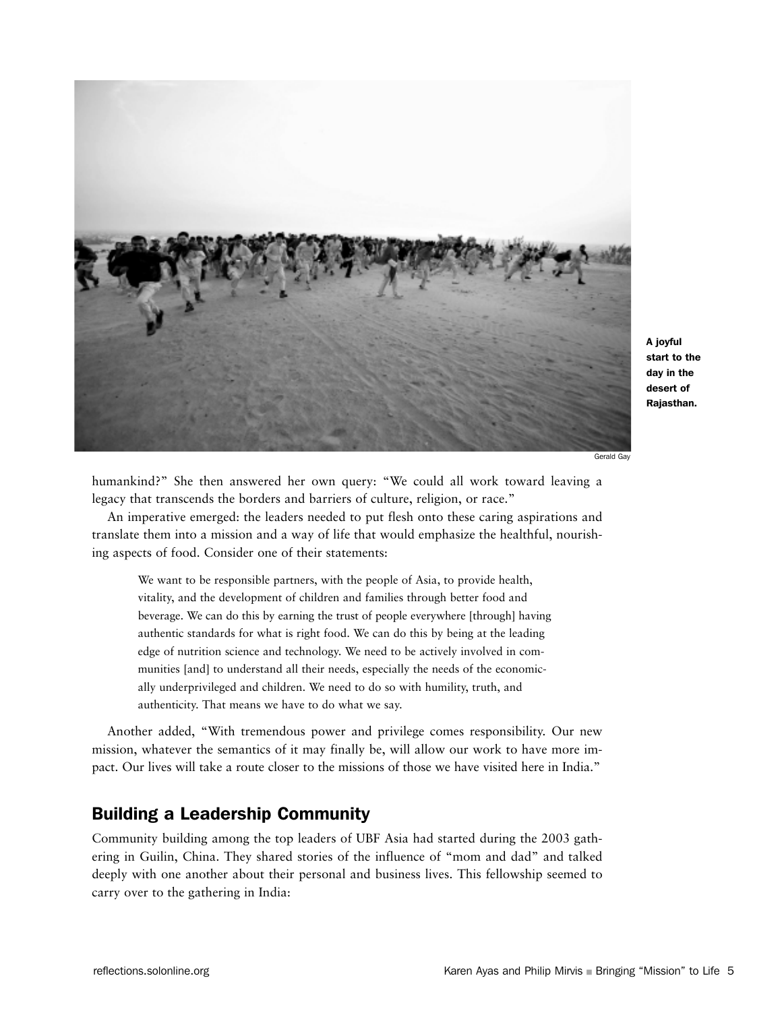![](_page_5_Picture_0.jpeg)

A joyful start to the day in the desert of Rajasthan.

Gerald Gay

humankind?" She then answered her own query: "We could all work toward leaving a legacy that transcends the borders and barriers of culture, religion, or race."

An imperative emerged: the leaders needed to put flesh onto these caring aspirations and translate them into a mission and a way of life that would emphasize the healthful, nourishing aspects of food. Consider one of their statements:

We want to be responsible partners, with the people of Asia, to provide health, vitality, and the development of children and families through better food and beverage. We can do this by earning the trust of people everywhere [through] having authentic standards for what is right food. We can do this by being at the leading edge of nutrition science and technology. We need to be actively involved in communities [and] to understand all their needs, especially the needs of the economically underprivileged and children. We need to do so with humility, truth, and authenticity. That means we have to do what we say.

Another added, "With tremendous power and privilege comes responsibility. Our new mission, whatever the semantics of it may finally be, will allow our work to have more impact. Our lives will take a route closer to the missions of those we have visited here in India."

## Building a Leadership Community

Community building among the top leaders of UBF Asia had started during the 2003 gathering in Guilin, China. They shared stories of the influence of "mom and dad" and talked deeply with one another about their personal and business lives. This fellowship seemed to carry over to the gathering in India: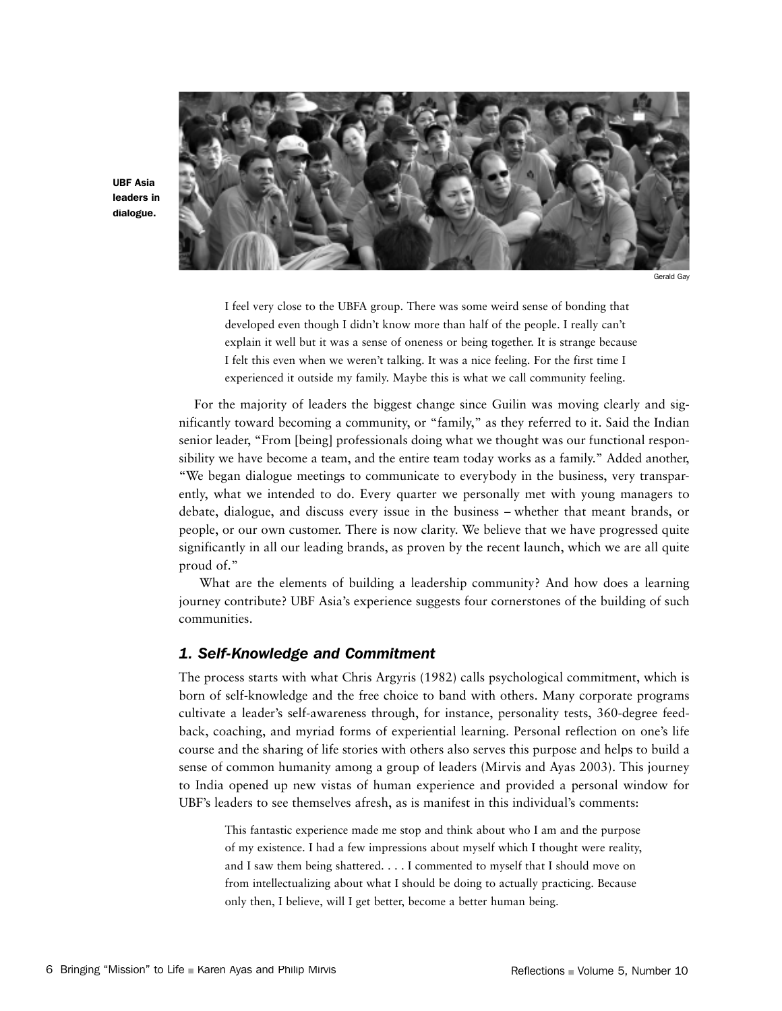![](_page_6_Picture_0.jpeg)

UBF Asia leaders in dialogue.

Gerald Gay

I feel very close to the UBFA group. There was some weird sense of bonding that developed even though I didn't know more than half of the people. I really can't explain it well but it was a sense of oneness or being together. It is strange because I felt this even when we weren't talking. It was a nice feeling. For the first time I experienced it outside my family. Maybe this is what we call community feeling.

For the majority of leaders the biggest change since Guilin was moving clearly and significantly toward becoming a community, or "family," as they referred to it. Said the Indian senior leader, "From [being] professionals doing what we thought was our functional responsibility we have become a team, and the entire team today works as a family." Added another, "We began dialogue meetings to communicate to everybody in the business, very transparently, what we intended to do. Every quarter we personally met with young managers to debate, dialogue, and discuss every issue in the business – whether that meant brands, or people, or our own customer. There is now clarity. We believe that we have progressed quite significantly in all our leading brands, as proven by the recent launch, which we are all quite proud of."

What are the elements of building a leadership community? And how does a learning journey contribute? UBF Asia's experience suggests four cornerstones of the building of such communities.

#### *1. Self-Knowledge and Commitment*

The process starts with what Chris Argyris (1982) calls psychological commitment, which is born of self-knowledge and the free choice to band with others. Many corporate programs cultivate a leader's self-awareness through, for instance, personality tests, 360-degree feedback, coaching, and myriad forms of experiential learning. Personal reflection on one's life course and the sharing of life stories with others also serves this purpose and helps to build a sense of common humanity among a group of leaders (Mirvis and Ayas 2003). This journey to India opened up new vistas of human experience and provided a personal window for UBF's leaders to see themselves afresh, as is manifest in this individual's comments:

This fantastic experience made me stop and think about who I am and the purpose of my existence. I had a few impressions about myself which I thought were reality, and I saw them being shattered. . . . I commented to myself that I should move on from intellectualizing about what I should be doing to actually practicing. Because only then, I believe, will I get better, become a better human being.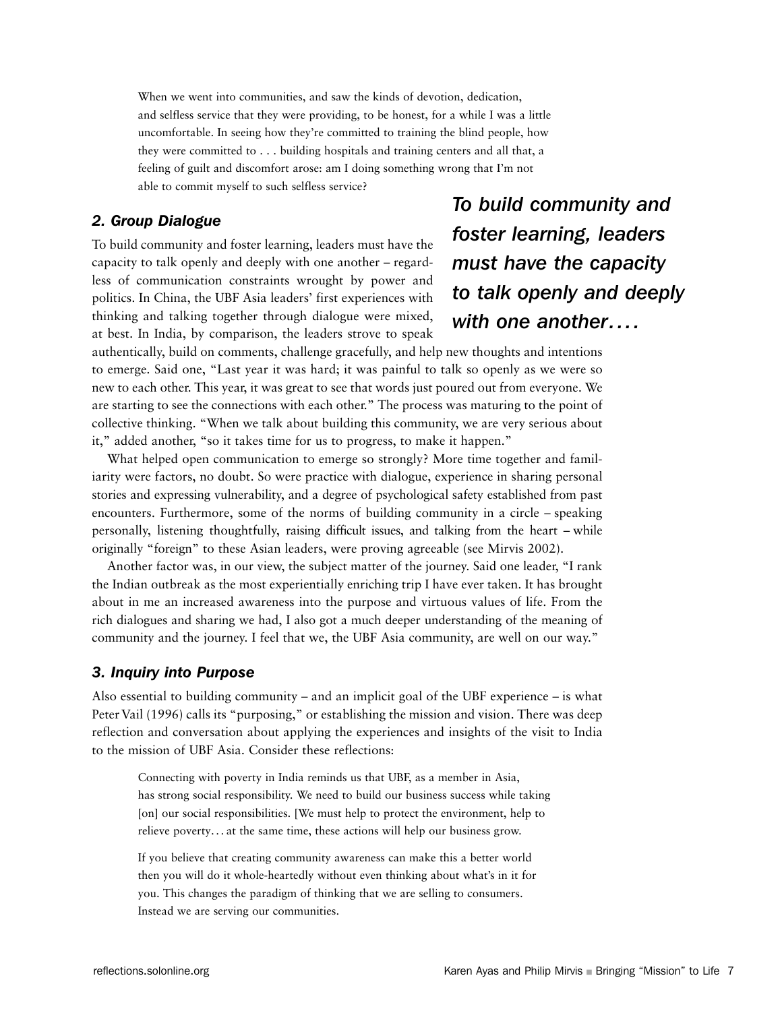When we went into communities, and saw the kinds of devotion, dedication, and selfless service that they were providing, to be honest, for a while I was a little uncomfortable. In seeing how they're committed to training the blind people, how they were committed to . . . building hospitals and training centers and all that, a feeling of guilt and discomfort arose: am I doing something wrong that I'm not able to commit myself to such selfless service?

#### *2. Group Dialogue*

To build community and foster learning, leaders must have the capacity to talk openly and deeply with one another – regardless of communication constraints wrought by power and politics. In China, the UBF Asia leaders' first experiences with thinking and talking together through dialogue were mixed, at best. In India, by comparison, the leaders strove to speak

*To build community and foster learning, leaders must have the capacity to talk openly and deeply with one another....*

authentically, build on comments, challenge gracefully, and help new thoughts and intentions to emerge. Said one, "Last year it was hard; it was painful to talk so openly as we were so new to each other. This year, it was great to see that words just poured out from everyone. We are starting to see the connections with each other." The process was maturing to the point of collective thinking. "When we talk about building this community, we are very serious about it," added another, "so it takes time for us to progress, to make it happen."

What helped open communication to emerge so strongly? More time together and familiarity were factors, no doubt. So were practice with dialogue, experience in sharing personal stories and expressing vulnerability, and a degree of psychological safety established from past encounters. Furthermore, some of the norms of building community in a circle – speaking personally, listening thoughtfully, raising difficult issues, and talking from the heart – while originally "foreign" to these Asian leaders, were proving agreeable (see Mirvis 2002).

Another factor was, in our view, the subject matter of the journey. Said one leader, "I rank the Indian outbreak as the most experientially enriching trip I have ever taken. It has brought about in me an increased awareness into the purpose and virtuous values of life. From the rich dialogues and sharing we had, I also got a much deeper understanding of the meaning of community and the journey. I feel that we, the UBF Asia community, are well on our way."

#### *3. Inquiry into Purpose*

Also essential to building community – and an implicit goal of the UBF experience – is what Peter Vail (1996) calls its "purposing," or establishing the mission and vision. There was deep reflection and conversation about applying the experiences and insights of the visit to India to the mission of UBF Asia. Consider these reflections:

Connecting with poverty in India reminds us that UBF, as a member in Asia, has strong social responsibility. We need to build our business success while taking [on] our social responsibilities. [We must help to protect the environment, help to relieve poverty. . . at the same time, these actions will help our business grow.

If you believe that creating community awareness can make this a better world then you will do it whole-heartedly without even thinking about what's in it for you. This changes the paradigm of thinking that we are selling to consumers. Instead we are serving our communities.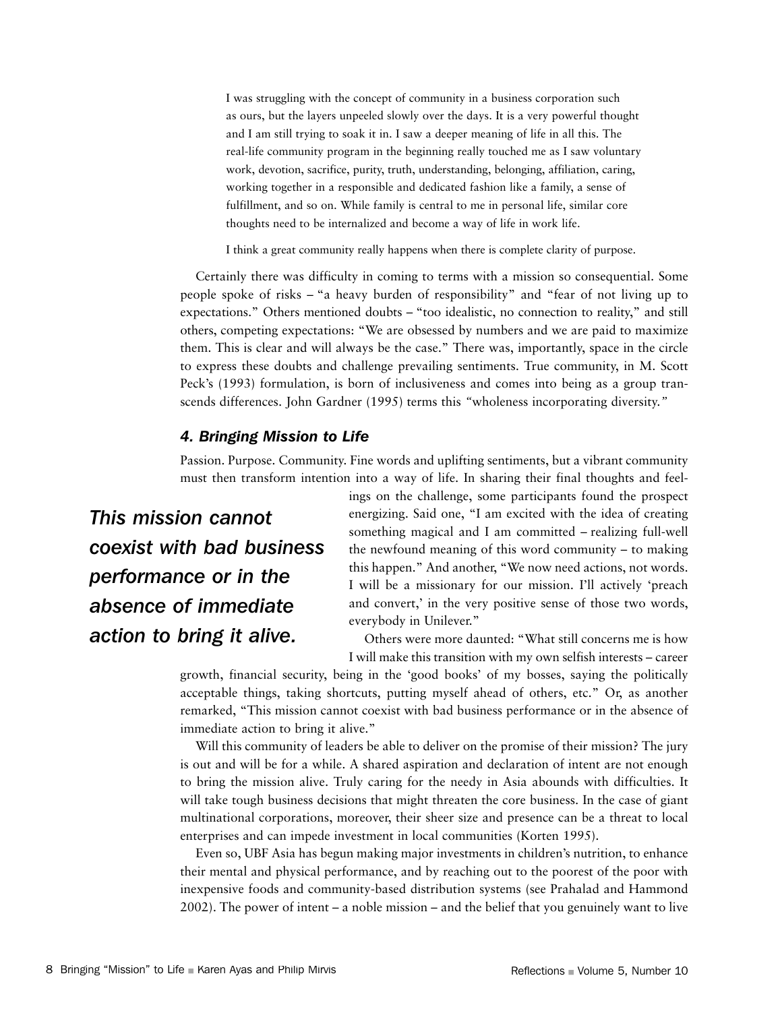I was struggling with the concept of community in a business corporation such as ours, but the layers unpeeled slowly over the days. It is a very powerful thought and I am still trying to soak it in. I saw a deeper meaning of life in all this. The real-life community program in the beginning really touched me as I saw voluntary work, devotion, sacrifice, purity, truth, understanding, belonging, affiliation, caring, working together in a responsible and dedicated fashion like a family, a sense of fulfillment, and so on. While family is central to me in personal life, similar core thoughts need to be internalized and become a way of life in work life.

I think a great community really happens when there is complete clarity of purpose.

Certainly there was difficulty in coming to terms with a mission so consequential. Some people spoke of risks – "a heavy burden of responsibility" and "fear of not living up to expectations." Others mentioned doubts – "too idealistic, no connection to reality," and still others, competing expectations: "We are obsessed by numbers and we are paid to maximize them. This is clear and will always be the case." There was, importantly, space in the circle to express these doubts and challenge prevailing sentiments. True community, in M. Scott Peck's (1993) formulation, is born of inclusiveness and comes into being as a group transcends differences. John Gardner (1995) terms this *"*wholeness incorporating diversity.*"*

#### *4. Bringing Mission to Life*

Passion. Purpose. Community. Fine words and uplifting sentiments, but a vibrant community must then transform intention into a way of life. In sharing their final thoughts and feel-

*This mission cannot coexist with bad business performance or in the absence of immediate action to bring it alive.*

ings on the challenge, some participants found the prospect energizing. Said one, "I am excited with the idea of creating something magical and I am committed – realizing full-well the newfound meaning of this word community – to making this happen." And another, "We now need actions, not words. I will be a missionary for our mission. I'll actively 'preach and convert,' in the very positive sense of those two words, everybody in Unilever."

Others were more daunted: "What still concerns me is how I will make this transition with my own selfish interests – career

growth, financial security, being in the 'good books' of my bosses, saying the politically acceptable things, taking shortcuts, putting myself ahead of others, etc." Or, as another remarked, "This mission cannot coexist with bad business performance or in the absence of immediate action to bring it alive."

Will this community of leaders be able to deliver on the promise of their mission? The jury is out and will be for a while. A shared aspiration and declaration of intent are not enough to bring the mission alive. Truly caring for the needy in Asia abounds with difficulties. It will take tough business decisions that might threaten the core business. In the case of giant multinational corporations, moreover, their sheer size and presence can be a threat to local enterprises and can impede investment in local communities (Korten 1995).

Even so, UBF Asia has begun making major investments in children's nutrition, to enhance their mental and physical performance, and by reaching out to the poorest of the poor with inexpensive foods and community-based distribution systems (see Prahalad and Hammond 2002). The power of intent – a noble mission – and the belief that you genuinely want to live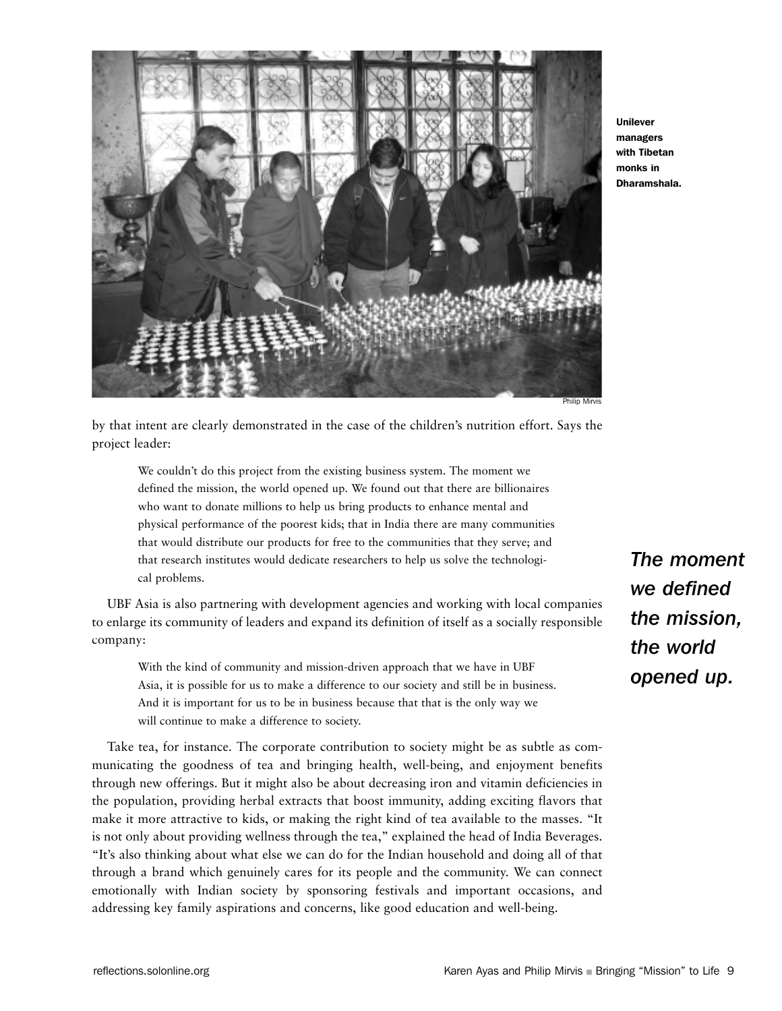![](_page_9_Picture_0.jpeg)

Unilever managers with Tibetan monks in Dharamshala.

Philip Mirvis

by that intent are clearly demonstrated in the case of the children's nutrition effort. Says the project leader:

We couldn't do this project from the existing business system. The moment we defined the mission, the world opened up. We found out that there are billionaires who want to donate millions to help us bring products to enhance mental and physical performance of the poorest kids; that in India there are many communities that would distribute our products for free to the communities that they serve; and that research institutes would dedicate researchers to help us solve the technological problems.

UBF Asia is also partnering with development agencies and working with local companies to enlarge its community of leaders and expand its definition of itself as a socially responsible company:

With the kind of community and mission-driven approach that we have in UBF Asia, it is possible for us to make a difference to our society and still be in business. And it is important for us to be in business because that that is the only way we will continue to make a difference to society.

Take tea, for instance. The corporate contribution to society might be as subtle as communicating the goodness of tea and bringing health, well-being, and enjoyment benefits through new offerings. But it might also be about decreasing iron and vitamin deficiencies in the population, providing herbal extracts that boost immunity, adding exciting flavors that make it more attractive to kids, or making the right kind of tea available to the masses. "It is not only about providing wellness through the tea," explained the head of India Beverages. "It's also thinking about what else we can do for the Indian household and doing all of that through a brand which genuinely cares for its people and the community. We can connect emotionally with Indian society by sponsoring festivals and important occasions, and addressing key family aspirations and concerns, like good education and well-being.

*The moment we defined the mission, the world opened up.*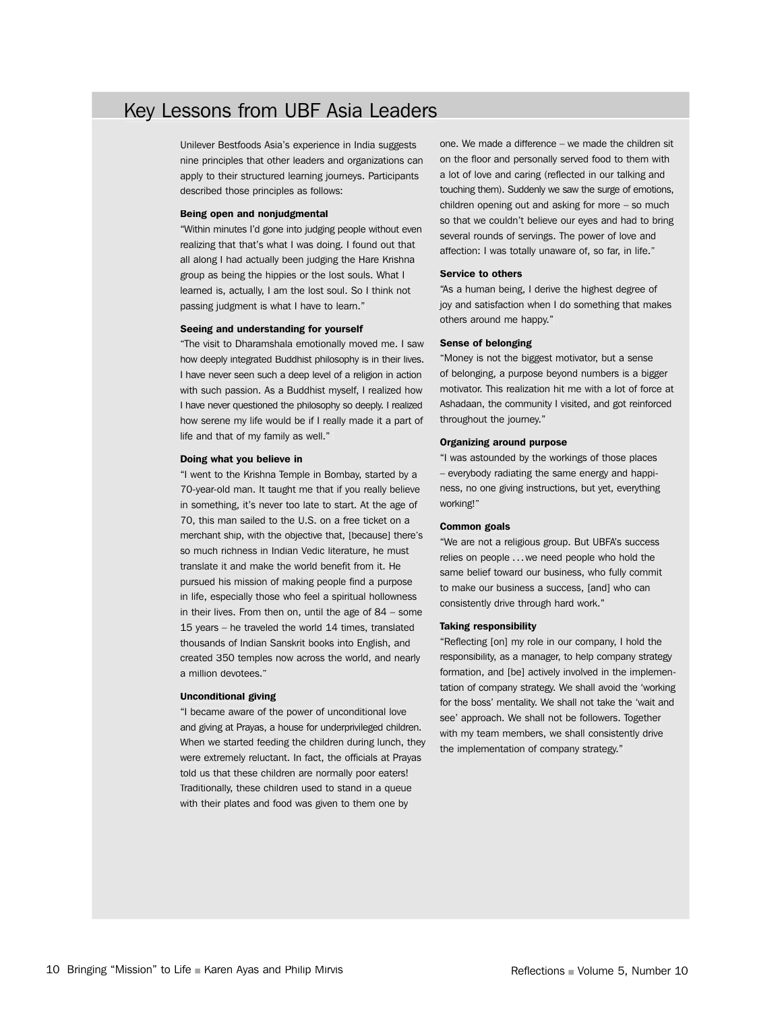## Key Lessons from UBF Asia Leaders

Unilever Bestfoods Asia's experience in India suggests nine principles that other leaders and organizations can apply to their structured learning journeys. Participants described those principles as follows:

#### Being open and nonjudgmental

"Within minutes I'd gone into judging people without even realizing that that's what I was doing. I found out that all along I had actually been judging the Hare Krishna group as being the hippies or the lost souls. What I learned is, actually, I am the lost soul. So I think not passing judgment is what I have to learn."

#### Seeing and understanding for yourself

"The visit to Dharamshala emotionally moved me. I saw how deeply integrated Buddhist philosophy is in their lives. I have never seen such a deep level of a religion in action with such passion. As a Buddhist myself, I realized how I have never questioned the philosophy so deeply. I realized how serene my life would be if I really made it a part of life and that of my family as well."

#### Doing what you believe in

"I went to the Krishna Temple in Bombay, started by a 70-year-old man. It taught me that if you really believe in something, it's never too late to start. At the age of 70, this man sailed to the U.S. on a free ticket on a merchant ship, with the objective that, [because] there's so much richness in Indian Vedic literature, he must translate it and make the world benefit from it. He pursued his mission of making people find a purpose in life, especially those who feel a spiritual hollowness in their lives. From then on, until the age of 84 – some 15 years – he traveled the world 14 times, translated thousands of Indian Sanskrit books into English, and created 350 temples now across the world, and nearly a million devotees."

#### Unconditional giving

"I became aware of the power of unconditional love and giving at Prayas, a house for underprivileged children. When we started feeding the children during lunch, they were extremely reluctant. In fact, the officials at Prayas told us that these children are normally poor eaters! Traditionally, these children used to stand in a queue with their plates and food was given to them one by

one. We made a difference – we made the children sit on the floor and personally served food to them with a lot of love and caring (reflected in our talking and touching them). Suddenly we saw the surge of emotions, children opening out and asking for more – so much so that we couldn't believe our eyes and had to bring several rounds of servings. The power of love and affection: I was totally unaware of, so far, in life."

#### Service to others

"As a human being, I derive the highest degree of joy and satisfaction when I do something that makes others around me happy."

#### Sense of belonging

"Money is not the biggest motivator, but a sense of belonging, a purpose beyond numbers is a bigger motivator. This realization hit me with a lot of force at Ashadaan, the community I visited, and got reinforced throughout the journey."

#### Organizing around purpose

"I was astounded by the workings of those places – everybody radiating the same energy and happiness, no one giving instructions, but yet, everything working!"

#### Common goals

"We are not a religious group. But UBFA's success relies on people ...we need people who hold the same belief toward our business, who fully commit to make our business a success, [and] who can consistently drive through hard work."

#### Taking responsibility

"Reflecting [on] my role in our company, I hold the responsibility, as a manager, to help company strategy formation, and [be] actively involved in the implementation of company strategy. We shall avoid the 'working for the boss' mentality. We shall not take the 'wait and see' approach. We shall not be followers. Together with my team members, we shall consistently drive the implementation of company strategy."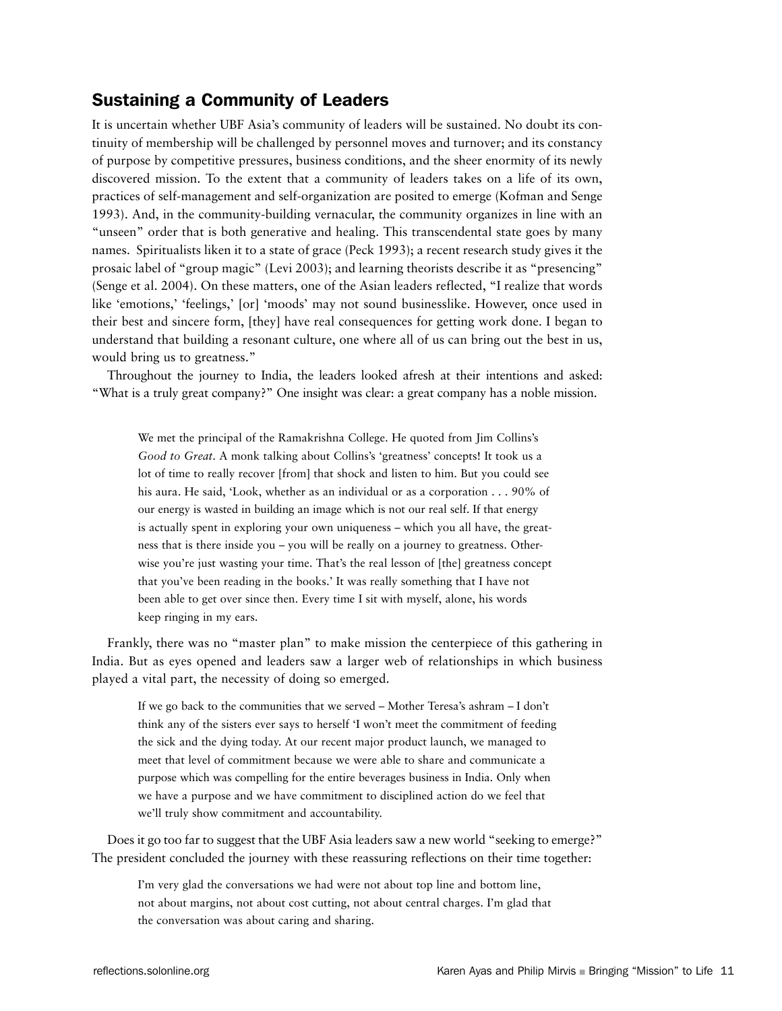## Sustaining a Community of Leaders

It is uncertain whether UBF Asia's community of leaders will be sustained. No doubt its continuity of membership will be challenged by personnel moves and turnover; and its constancy of purpose by competitive pressures, business conditions, and the sheer enormity of its newly discovered mission. To the extent that a community of leaders takes on a life of its own, practices of self-management and self-organization are posited to emerge (Kofman and Senge 1993). And, in the community-building vernacular, the community organizes in line with an "unseen" order that is both generative and healing. This transcendental state goes by many names. Spiritualists liken it to a state of grace (Peck 1993); a recent research study gives it the prosaic label of "group magic" (Levi 2003); and learning theorists describe it as "presencing" (Senge et al. 2004). On these matters, one of the Asian leaders reflected, "I realize that words like 'emotions,' 'feelings,' [or] 'moods' may not sound businesslike. However, once used in their best and sincere form, [they] have real consequences for getting work done. I began to understand that building a resonant culture, one where all of us can bring out the best in us, would bring us to greatness."

Throughout the journey to India, the leaders looked afresh at their intentions and asked: "What is a truly great company?" One insight was clear: a great company has a noble mission.

We met the principal of the Ramakrishna College. He quoted from Jim Collins's *Good to Great*. A monk talking about Collins's 'greatness' concepts! It took us a lot of time to really recover [from] that shock and listen to him. But you could see his aura. He said, 'Look, whether as an individual or as a corporation . . . 90% of our energy is wasted in building an image which is not our real self. If that energy is actually spent in exploring your own uniqueness – which you all have, the greatness that is there inside you – you will be really on a journey to greatness. Otherwise you're just wasting your time. That's the real lesson of [the] greatness concept that you've been reading in the books.' It was really something that I have not been able to get over since then. Every time I sit with myself, alone, his words keep ringing in my ears.

Frankly, there was no "master plan" to make mission the centerpiece of this gathering in India. But as eyes opened and leaders saw a larger web of relationships in which business played a vital part, the necessity of doing so emerged.

If we go back to the communities that we served – Mother Teresa's ashram – I don't think any of the sisters ever says to herself 'I won't meet the commitment of feeding the sick and the dying today. At our recent major product launch, we managed to meet that level of commitment because we were able to share and communicate a purpose which was compelling for the entire beverages business in India. Only when we have a purpose and we have commitment to disciplined action do we feel that we'll truly show commitment and accountability.

Does it go too far to suggest that the UBF Asia leaders saw a new world "seeking to emerge?" The president concluded the journey with these reassuring reflections on their time together:

I'm very glad the conversations we had were not about top line and bottom line, not about margins, not about cost cutting, not about central charges. I'm glad that the conversation was about caring and sharing.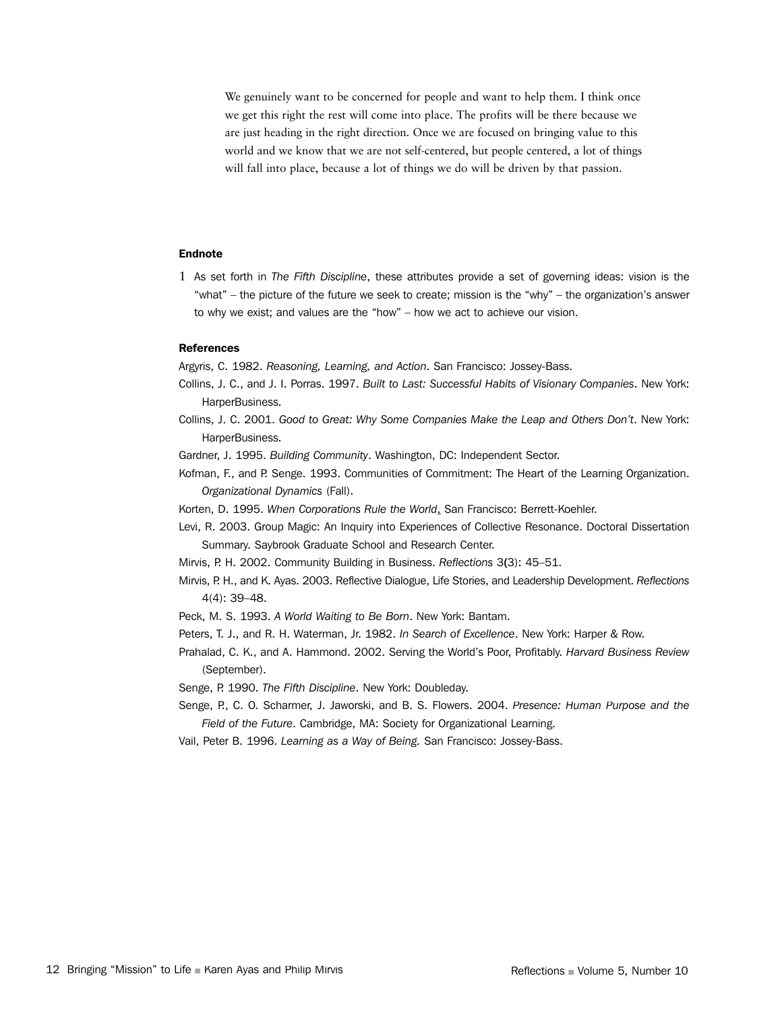We genuinely want to be concerned for people and want to help them. I think once we get this right the rest will come into place. The profits will be there because we are just heading in the right direction. Once we are focused on bringing value to this world and we know that we are not self-centered, but people centered, a lot of things will fall into place, because a lot of things we do will be driven by that passion.

#### Endnote

1 As set forth in *The Fifth Discipline*, these attributes provide a set of governing ideas: vision is the "what" – the picture of the future we seek to create; mission is the "why" – the organization's answer to why we exist; and values are the "how" – how we act to achieve our vision.

#### References

Argyris, C. 1982. *Reasoning, Learning, and Action*. San Francisco: Jossey-Bass.

- Collins, J. C., and J. I. Porras. 1997. *Built to Last: Successful Habits of Visionary Companies*. New York: HarperBusiness.
- Collins, J. C. 2001. *Good to Great: Why Some Companies Make the Leap and Others Don't*. New York: HarperBusiness.
- Gardner, J. 1995. *Building Community*. Washington, DC: Independent Sector.
- Kofman, F., and P. Senge. 1993. Communities of Commitment: The Heart of the Learning Organization. *Organizational Dynamics* (Fall).
- Korten, D. 1995. *When Corporations Rule the World*. San Francisco: Berrett-Koehler.
- Levi, R. 2003. Group Magic: An Inquiry into Experiences of Collective Resonance. Doctoral Dissertation Summary. Saybrook Graduate School and Research Center.
- Mirvis, P. H. 2002. Community Building in Business. *Reflections* 3(3): 45–51.
- Mirvis, P. H., and K. Ayas. 2003. Reflective Dialogue, Life Stories, and Leadership Development. *Reflections* 4(4): 39–48.
- Peck, M. S. 1993. *A World Waiting to Be Born*. New York: Bantam.
- Peters, T. J., and R. H. Waterman, Jr. 1982. *In Search of Excellence*. New York: Harper & Row.
- Prahalad, C. K., and A. Hammond. 2002. Serving the World's Poor, Profitably. *Harvard Business Review* (September).
- Senge, P. 1990. *The Fifth Discipline*. New York: Doubleday.
- Senge, P., C. O. Scharmer, J. Jaworski, and B. S. Flowers. 2004. *Presence: Human Purpose and the Field of the Future*. Cambridge, MA: Society for Organizational Learning.
- Vail, Peter B. 1996. *Learning as a Way of Being.* San Francisco: Jossey-Bass.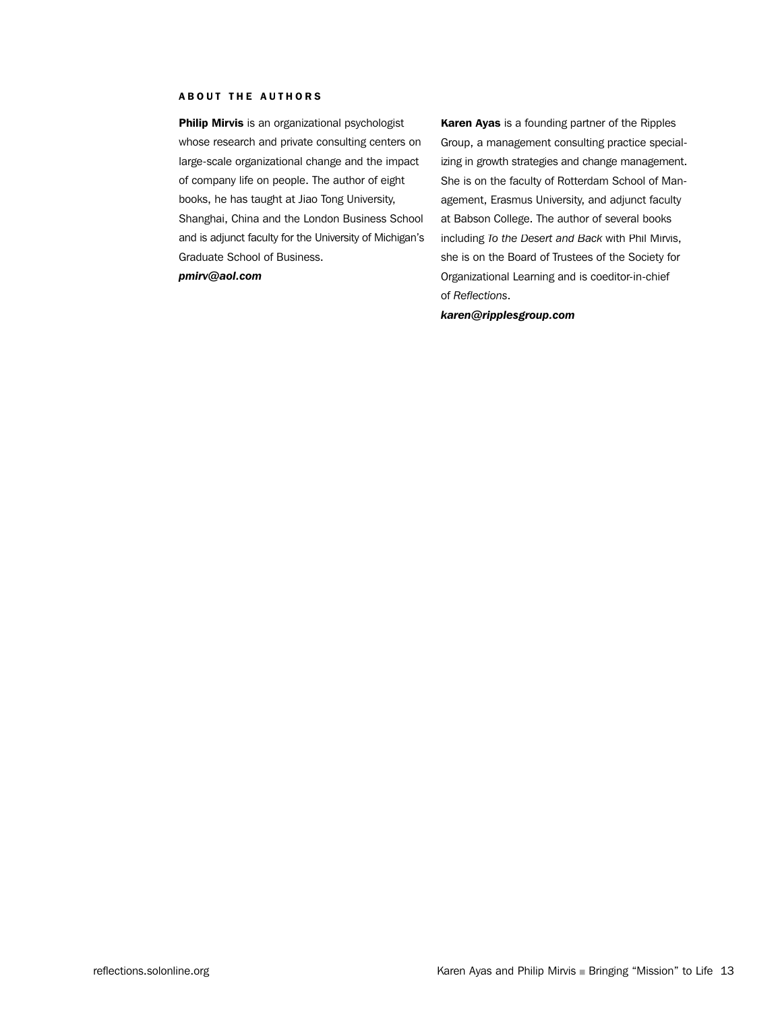#### ABOUT THE AUTHORS

Philip Mirvis is an organizational psychologist whose research and private consulting centers on large-scale organizational change and the impact of company life on people. The author of eight books, he has taught at Jiao Tong University, Shanghai, China and the London Business School and is adjunct faculty for the University of Michigan's Graduate School of Business.

*pmirv@aol.com*

Karen Ayas is a founding partner of the Ripples Group, a management consulting practice specializing in growth strategies and change management. She is on the faculty of Rotterdam School of Management, Erasmus University, and adjunct faculty at Babson College. The author of several books including *To the Desert and Back* with Phil Mirvis, she is on the Board of Trustees of the Society for Organizational Learning and is coeditor-in-chief of *Reflections*.

*karen@ripplesgroup.com*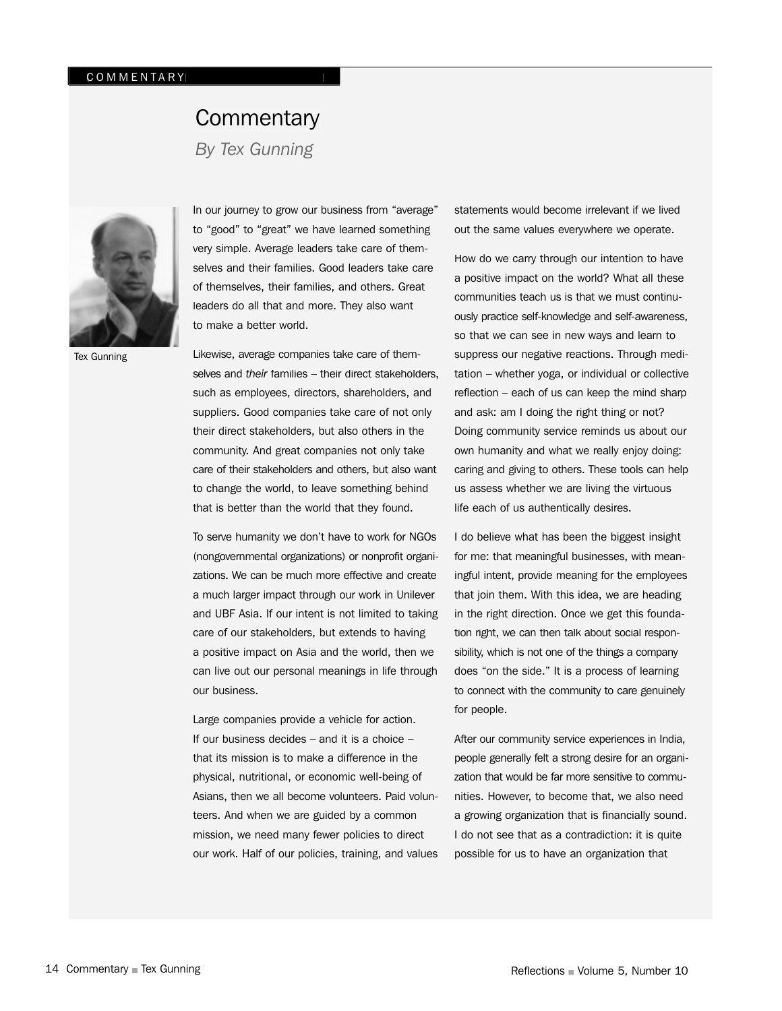## **Commentary**

*By Tex Gunning*

![](_page_14_Picture_3.jpeg)

In our journey to grow our business from "average" to "good" to "great" we have learned something very simple. Average leaders take care of themselves and their families. Good leaders take care of themselves, their families, and others. Great leaders do all that and more. They also want to make a better world.

Likewise, average companies take care of themselves and *their* families – their direct stakeholders, such as employees, directors, shareholders, and suppliers. Good companies take care of not only their direct stakeholders, but also others in the community. And great companies not only take care of their stakeholders and others, but also want to change the world, to leave something behind that is better than the world that they found.

To serve humanity we don't have to work for NGOs (nongovernmental organizations) or nonprofit organizations. We can be much more effective and create a much larger impact through our work in Unilever and UBF Asia. If our intent is not limited to taking care of our stakeholders, but extends to having a positive impact on Asia and the world, then we can live out our personal meanings in life through our business.

Large companies provide a vehicle for action. If our business decides – and it is a choice – that its mission is to make a difference in the physical, nutritional, or economic well-being of Asians, then we all become volunteers. Paid volunteers. And when we are guided by a common mission, we need many fewer policies to direct our work. Half of our policies, training, and values statements would become irrelevant if we lived out the same values everywhere we operate.

How do we carry through our intention to have a positive impact on the world? What all these communities teach us is that we must continuously practice self-knowledge and self-awareness, so that we can see in new ways and learn to suppress our negative reactions. Through meditation – whether yoga, or individual or collective reflection – each of us can keep the mind sharp and ask: am I doing the right thing or not? Doing community service reminds us about our own humanity and what we really enjoy doing: caring and giving to others. These tools can help us assess whether we are living the virtuous life each of us authentically desires.

I do believe what has been the biggest insight for me: that meaningful businesses, with meaningful intent, provide meaning for the employees that join them. With this idea, we are heading in the right direction. Once we get this foundation right, we can then talk about social responsibility, which is not one of the things a company does "on the side." It is a process of learning to connect with the community to care genuinely for people.

After our community service experiences in India, people generally felt a strong desire for an organization that would be far more sensitive to communities. However, to become that, we also need a growing organization that is financially sound. I do not see that as a contradiction: it is quite possible for us to have an organization that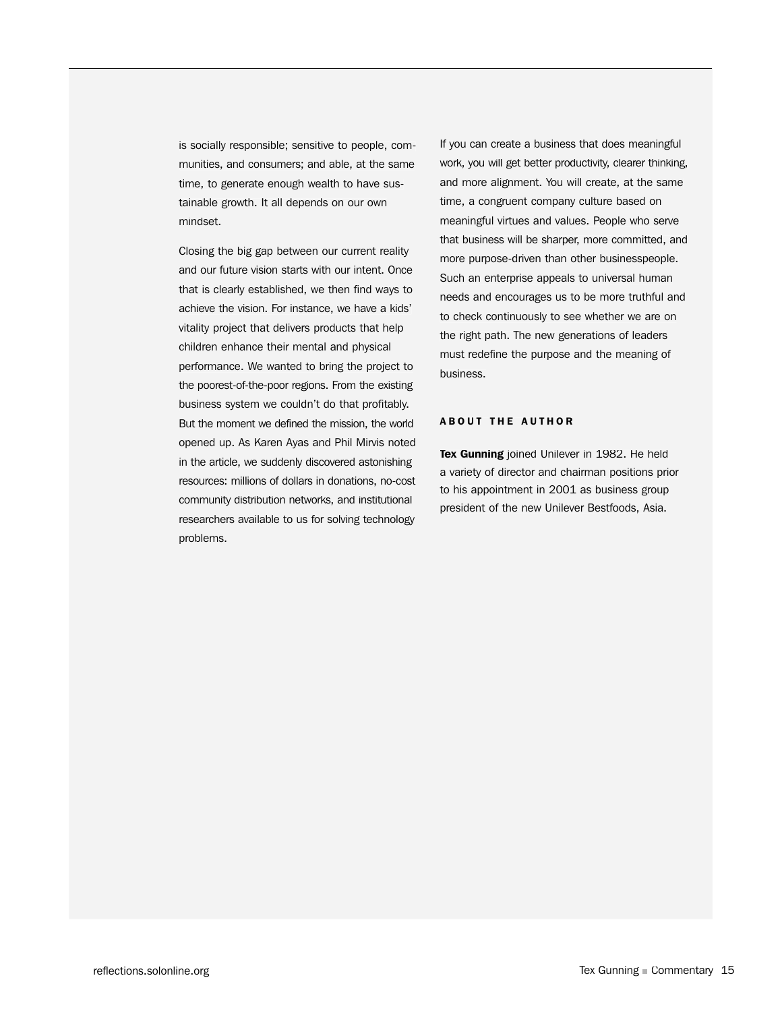is socially responsible; sensitive to people, communities, and consumers; and able, at the same time, to generate enough wealth to have sustainable growth. It all depends on our own mindset.

Closing the big gap between our current reality and our future vision starts with our intent. Once that is clearly established, we then find ways to achieve the vision. For instance, we have a kids' vitality project that delivers products that help children enhance their mental and physical performance. We wanted to bring the project to the poorest-of-the-poor regions. From the existing business system we couldn't do that profitably. But the moment we defined the mission, the world opened up. As Karen Ayas and Phil Mirvis noted in the article, we suddenly discovered astonishing resources: millions of dollars in donations, no-cost community distribution networks, and institutional researchers available to us for solving technology problems.

If you can create a business that does meaningful work, you will get better productivity, clearer thinking, and more alignment. You will create, at the same time, a congruent company culture based on meaningful virtues and values. People who serve that business will be sharper, more committed, and more purpose-driven than other businesspeople. Such an enterprise appeals to universal human needs and encourages us to be more truthful and to check continuously to see whether we are on the right path. The new generations of leaders must redefine the purpose and the meaning of business.

#### **ABOUT THE AUTHOR**

Tex Gunning joined Unilever in 1982. He held a variety of director and chairman positions prior to his appointment in 2001 as business group president of the new Unilever Bestfoods, Asia.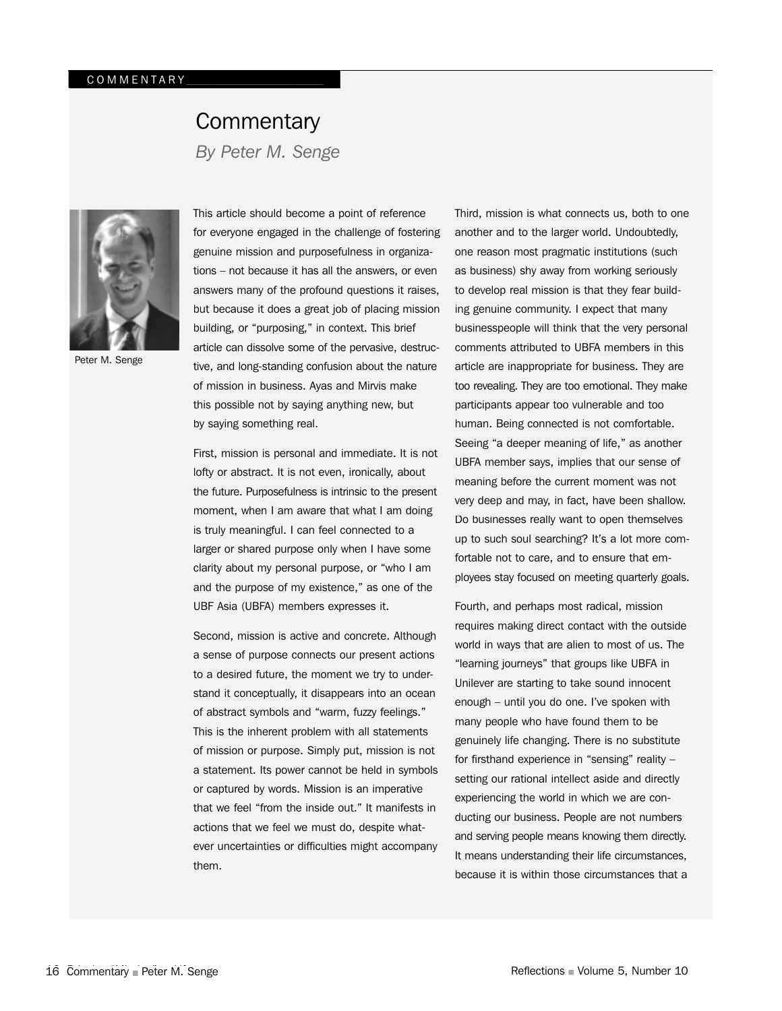## **Commentary** *By Peter M. Senge*

Peter M. Senge

This article should become a point of reference for everyone engaged in the challenge of fostering genuine mission and purposefulness in organizations – not because it has all the answers, or even answers many of the profound questions it raises, but because it does a great job of placing mission building, or "purposing," in context. This brief article can dissolve some of the pervasive, destructive, and long-standing confusion about the nature of mission in business. Ayas and Mirvis make this possible not by saying anything new, but by saying something real.

First, mission is personal and immediate. It is not lofty or abstract. It is not even, ironically, about the future. Purposefulness is intrinsic to the present moment, when I am aware that what I am doing is truly meaningful. I can feel connected to a larger or shared purpose only when I have some clarity about my personal purpose, or "who I am and the purpose of my existence," as one of the UBF Asia (UBFA) members expresses it.

Second, mission is active and concrete. Although a sense of purpose connects our present actions to a desired future, the moment we try to understand it conceptually, it disappears into an ocean of abstract symbols and "warm, fuzzy feelings." This is the inherent problem with all statements of mission or purpose. Simply put, mission is not a statement. Its power cannot be held in symbols or captured by words. Mission is an imperative that we feel "from the inside out." It manifests in actions that we feel we must do, despite whatever uncertainties or difficulties might accompany them.

Third, mission is what connects us, both to one another and to the larger world. Undoubtedly, one reason most pragmatic institutions (such as business) shy away from working seriously to develop real mission is that they fear building genuine community. I expect that many businesspeople will think that the very personal comments attributed to UBFA members in this article are inappropriate for business. They are too revealing. They are too emotional. They make participants appear too vulnerable and too human. Being connected is not comfortable. Seeing "a deeper meaning of life," as another UBFA member says, implies that our sense of meaning before the current moment was not very deep and may, in fact, have been shallow. Do businesses really want to open themselves up to such soul searching? It's a lot more comfortable not to care, and to ensure that employees stay focused on meeting quarterly goals.

Fourth, and perhaps most radical, mission requires making direct contact with the outside world in ways that are alien to most of us. The "learning journeys" that groups like UBFA in Unilever are starting to take sound innocent enough – until you do one. I've spoken with many people who have found them to be genuinely life changing. There is no substitute for firsthand experience in "sensing" reality – setting our rational intellect aside and directly experiencing the world in which we are conducting our business. People are not numbers and serving people means knowing them directly. It means understanding their life circumstances, because it is within those circumstances that a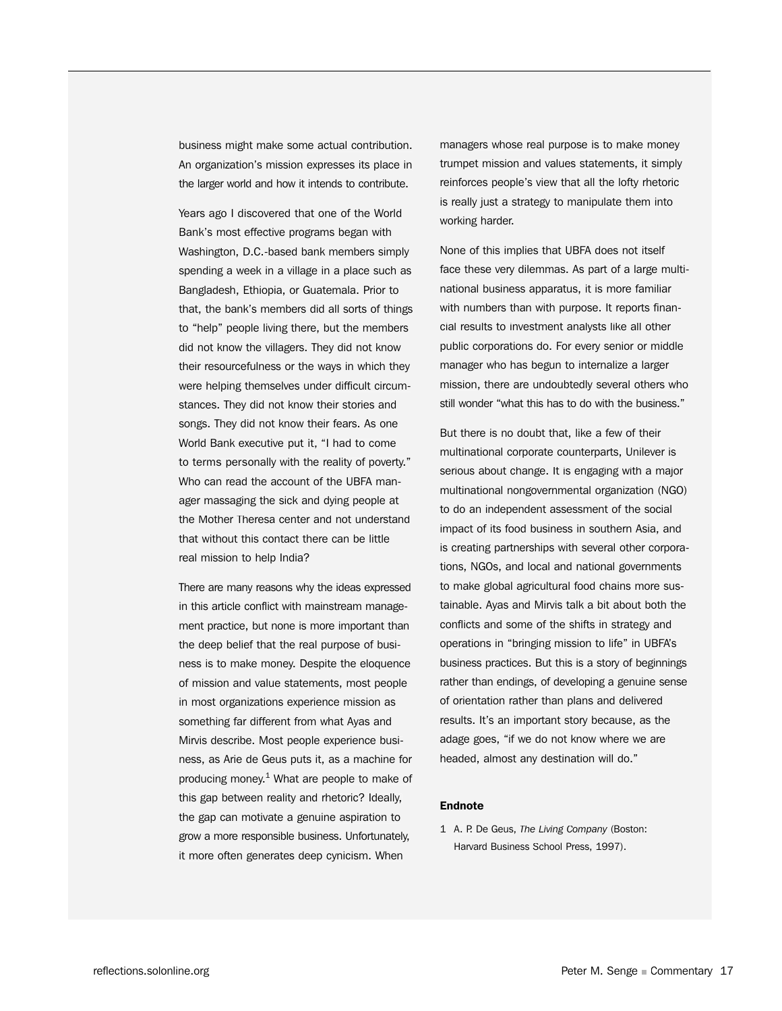business might make some actual contribution. An organization's mission expresses its place in the larger world and how it intends to contribute.

Years ago I discovered that one of the World Bank's most effective programs began with Washington, D.C.-based bank members simply spending a week in a village in a place such as Bangladesh, Ethiopia, or Guatemala. Prior to that, the bank's members did all sorts of things to "help" people living there, but the members did not know the villagers. They did not know their resourcefulness or the ways in which they were helping themselves under difficult circumstances. They did not know their stories and songs. They did not know their fears. As one World Bank executive put it, "I had to come to terms personally with the reality of poverty." Who can read the account of the UBFA manager massaging the sick and dying people at the Mother Theresa center and not understand that without this contact there can be little real mission to help India?

There are many reasons why the ideas expressed in this article conflict with mainstream management practice, but none is more important than the deep belief that the real purpose of business is to make money. Despite the eloquence of mission and value statements, most people in most organizations experience mission as something far different from what Ayas and Mirvis describe. Most people experience business, as Arie de Geus puts it, as a machine for producing money. 1 What are people to make of this gap between reality and rhetoric? Ideally, the gap can motivate a genuine aspiration to grow a more responsible business. Unfortunately, it more often generates deep cynicism. When

managers whose real purpose is to make money trumpet mission and values statements, it simply reinforces people's view that all the lofty rhetoric is really just a strategy to manipulate them into working harder.

None of this implies that UBFA does not itself face these very dilemmas. As part of a large multinational business apparatus, it is more familiar with numbers than with purpose. It reports financial results to investment analysts like all other public corporations do. For every senior or middle manager who has begun to internalize a larger mission, there are undoubtedly several others who still wonder "what this has to do with the business."

But there is no doubt that, like a few of their multinational corporate counterparts, Unilever is serious about change. It is engaging with a major multinational nongovernmental organization (NGO) to do an independent assessment of the social impact of its food business in southern Asia, and is creating partnerships with several other corporations, NGOs, and local and national governments to make global agricultural food chains more sustainable. Ayas and Mirvis talk a bit about both the conflicts and some of the shifts in strategy and operations in "bringing mission to life" in UBFA's business practices. But this is a story of beginnings rather than endings, of developing a genuine sense of orientation rather than plans and delivered results. It's an important story because, as the adage goes, "if we do not know where we are headed, almost any destination will do."

#### Endnote

1 A. P. De Geus, *The Living Company* (Boston: Harvard Business School Press, 1997).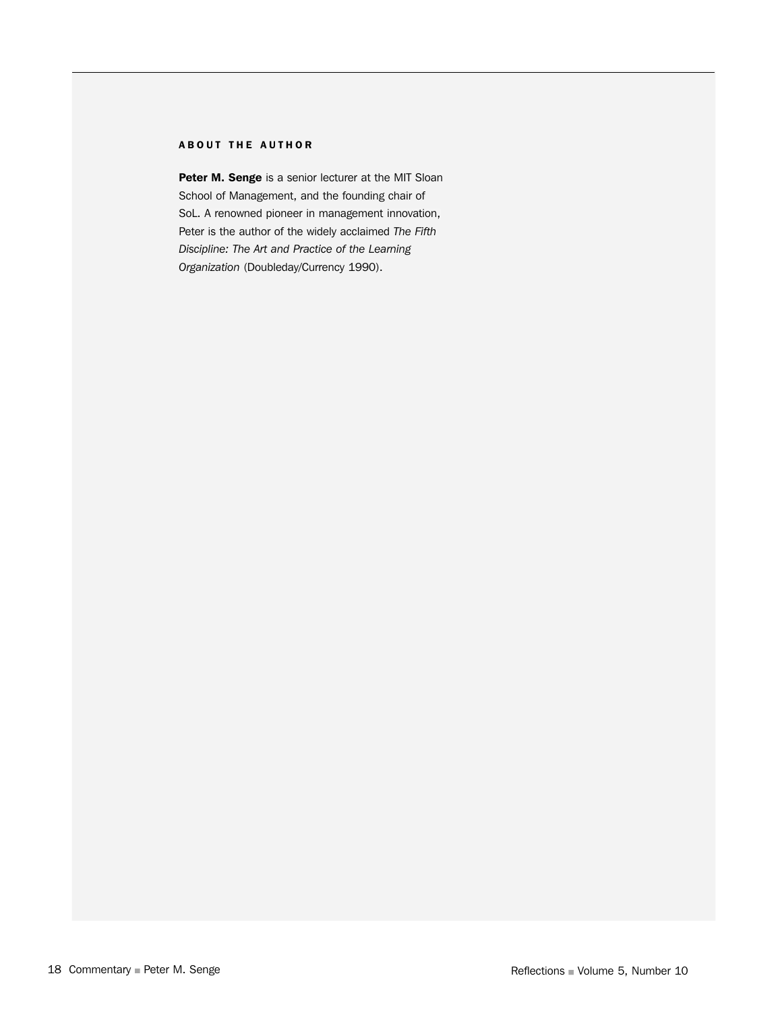#### ABOUT THE AUTHOR

Peter M. Senge is a senior lecturer at the MIT Sloan School of Management, and the founding chair of SoL. A renowned pioneer in management innovation, Peter is the author of the widely acclaimed *The Fifth Discipline: The Art and Practice of the Learning Organization* (Doubleday/Currency 1990).